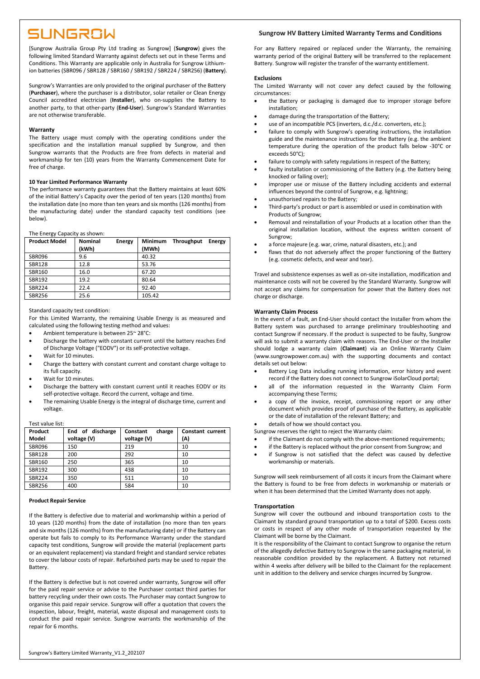## SUNGROW

[Sungrow Australia Group Pty Ltd trading as Sungrow] (**Sungrow**) gives the following limited Standard Warranty against defects set out in these Terms and Conditions. This Warranty are applicable only in Australia for Sungrow Lithiumion batteries (SBR096 / SBR128 / SBR160 / SBR192 / SBR224 / SBR256) (**Battery**).

Sungrow's Warranties are only provided to the original purchaser of the Battery (**Purchaser**), where the purchaser is a distributor, solar retailer or Clean Energy Council accredited electrician (**Installer**), who on-supplies the Battery to another party, to that other-party (**End-User**). Sungrow's Standard Warranties are not otherwise transferable.

## **Warranty**

The Battery usage must comply with the operating conditions under the specification and the installation manual supplied by Sungrow, and then Sungrow warrants that the Products are free from defects in material and workmanship for ten (10) years from the Warranty Commencement Date for free of charge.

## **10 Year Limited Performance Warranty**

The performance warranty guarantees that the Battery maintains at least 60% of the initial Battery's Capacity over the period of ten years (120 months) from the installation date (no more than ten years and six months (126 months) from the manufacturing date) under the standard capacity test conditions (see below).

## The Energy Capacity as shown:

| <b>Product Model</b> | <b>Nominal</b><br>(kWh) | Energy | Minimum<br>(MWh) | Throughput | Energy |
|----------------------|-------------------------|--------|------------------|------------|--------|
| <b>SBR096</b>        | 9.6                     |        | 40.32            |            |        |
| <b>SBR128</b>        | 12.8                    |        | 53.76            |            |        |
| SBR160               | 16.0                    |        | 67.20            |            |        |
| SBR192               | 19.2                    |        | 80.64            |            |        |
| <b>SBR224</b>        | 22.4                    |        | 92.40            |            |        |
| <b>SBR256</b>        | 25.6                    |        | 105.42           |            |        |

Standard capacity test condition:

For this Limited Warranty, the remaining Usable Energy is as measured and calculated using the following testing method and values:

- Ambient temperature is between 25~ 28°C:
- Discharge the battery with constant current until the battery reaches End of Discharge Voltage ("EODV") or its self-protective voltage.
- Wait for 10 minutes.
- Charge the battery with constant current and constant charge voltage to its full capacity.
- Wait for 10 minutes.
- Discharge the battery with constant current until it reaches EODV or its self-protective voltage. Record the current, voltage and time.
- The remaining Usable Energy is the integral of discharge time, current and voltage.

## Test value list:

| Product<br>Model | End of discharge<br>voltage (V) | charge<br>Constant<br>voltage (V) | Constant current<br>(A) |
|------------------|---------------------------------|-----------------------------------|-------------------------|
| <b>SBR096</b>    | 150                             | 219                               | 10                      |
| <b>SBR128</b>    | 200                             | 292                               | 10                      |
| SBR160           | 250                             | 365                               | 10                      |
| <b>SBR192</b>    | 300                             | 438                               | 10                      |
| <b>SBR224</b>    | 350                             | 511                               | 10                      |
| <b>SBR256</b>    | 400                             | 584                               | 10                      |

#### **Product Repair Service**

If the Battery is defective due to material and workmanship within a period of 10 years (120 months) from the date of installation (no more than ten years and six months (126 months) from the manufacturing date) or if the Battery can operate but fails to comply to its Performance Warranty under the standard capacity test conditions, Sungrow will provide the material (replacement parts or an equivalent replacement) via standard freight and standard service rebates to cover the labour costs of repair. Refurbished parts may be used to repair the Battery.

If the Battery is defective but is not covered under warranty, Sungrow will offer for the paid repair service or advise to the Purchaser contact third parties for battery recycling under their own costs. The Purchaser may contact Sungrow to organise this paid repair service. Sungrow will offer a quotation that covers the inspection, labour, freight, material, waste disposal and management costs to conduct the paid repair service. Sungrow warrants the workmanship of the repair for 6 months.

## **Sungrow HV Battery Limited Warranty Terms and Conditions**

For any Battery repaired or replaced under the Warranty, the remaining warranty period of the original Battery will be transferred to the replacement Battery. Sungrow will register the transfer of the warranty entitlement.

#### **Exclusions**

The Limited Warranty will not cover any defect caused by the following circumstances:

- the Battery or packaging is damaged due to improper storage before installation;
- damage during the transportation of the Battery;
- use of an incompatible PCS (inverters, d.c./d.c. converters, etc.);
- failure to comply with Sungrow's operating instructions, the installation guide and the maintenance instructions for the Battery (e.g. the ambient temperature during the operation of the product falls below -30°C or exceeds 50°C);
- failure to comply with safety regulations in respect of the Battery;
- faulty installation or commissioning of the Battery (e.g. the Battery being knocked or failing over);
- improper use or misuse of the Battery including accidents and external influences beyond the control of Sungrow, e.g. lightning;
- unauthorised repairs to the Battery;
- Third-party's product or part is assembled or used in combination with Products of Sungrow;
- Removal and reinstallation of your Products at a location other than the original installation location, without the express written consent of Sungrow;
- a force majeure (e.g. war, crime, natural disasters, etc.); and
- flaws that do not adversely affect the proper functioning of the Battery (e.g. cosmetic defects, and wear and tear).

Travel and subsistence expenses as well as on-site installation, modification and maintenance costs will not be covered by the Standard Warranty. Sungrow will not accept any claims for compensation for power that the Battery does not charge or discharge.

## **Warranty Claim Process**

In the event of a fault, an End-User should contact the Installer from whom the Battery system was purchased to arrange preliminary troubleshooting and contact Sungrow if necessary. If the product is suspected to be faulty, Sungrow will ask to submit a warranty claim with reasons. The End-User or the Installer should lodge a warranty claim (**Claimant**) via an Online Warranty Claim (www.sungrowpower.com.au) with the supporting documents and contact details set out below:

- Battery Log Data including running information, error history and event record if the Battery does not connect to Sungrow iSolarCloud portal;
- all of the information requested in the Warranty Claim Form accompanying these Terms;
- a copy of the invoice, receipt, commissioning report or any other document which provides proof of purchase of the Battery, as applicable or the date of installation of the relevant Battery; and

• details of how we should contact you.

- Sungrow reserves the right to reject the Warranty claim:
- if the Claimant do not comply with the above-mentioned requirements;
- if the Battery is replaced without the prior consent from Sungrow; and
- if Sungrow is not satisfied that the defect was caused by defective workmanship or materials.

Sungrow will seek reimbursement of all costs it incurs from the Claimant where the Battery is found to be free from defects in workmanship or materials or when it has been determined that the Limited Warranty does not apply.

#### **Transportation**

Sungrow will cover the outbound and inbound transportation costs to the Claimant by standard ground transportation up to a total of \$200. Excess costs or costs in respect of any other mode of transportation requested by the Claimant will be borne by the Claimant.

It is the responsibility of the Claimant to contact Sungrow to organise the return of the allegedly defective Battery to Sungrow in the same packaging material, in reasonable condition provided by the replacement. A Battery not returned within 4 weeks after delivery will be billed to the Claimant for the replacement unit in addition to the delivery and service charges incurred by Sungrow.